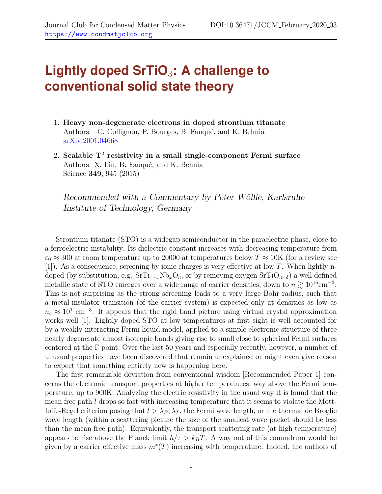## **Lightly doped SrTiO**3**: A challenge to conventional solid state theory**

- 1. Heavy non-degenerate electrons in doped strontium titanate Authors: C. Collignon, P. Bourges, B. Fauqué, and K. Behnia [arXiv:2001.04668](http://arxiv.org)
- 2. Scalable  $T^2$  resistivity in a small single-component Fermi surface Authors: X. Lin, B. Fauqué, and K. Behnia Science 349, 945 (2015)

Recommended with a Commentary by Peter Wölfle, Karlsruhe Institute of Technology, Germany

Strontium titanate (STO) is a widegap semiconductor in the paraelectric phase, close to a ferroelectric instability. Its dielectric constant increases with decreasing temperature from  $\varepsilon_0 \approx 300$  at room temperature up to 20000 at temperatures below  $T \approx 10$ K (for a review see [1]). As a consequence, screening by ionic charges is very effective at low T. When lightly ndoped (by substitution, e.g.  $SrTi_{1-x}Nb_xO_3$ , or by removing oxygen  $SrTiO_{3-\delta}$ ) a well defined metallic state of STO emerges over a wide range of carrier densities, down to  $n \gtrsim 10^{16}$ cm<sup>-3</sup>. This is not surprising as the strong screening leads to a very large Bohr radius, such that a metal-insulator transition (of the carrier system) is expected only at densities as low as  $n_c \approx 10^{11} \text{cm}^{-3}$ . It appears that the rigid band picture using virtual crystal approximation works well [\[1\]](#page-2-0). Lightly doped STO at low temperatures at first sight is well accounted for by a weakly interacting Fermi liquid model, applied to a simple electronic structure of three nearly degenerate almost isotropic bands giving rise to small close to spherical Fermi surfaces centered at the Γ point. Over the last 50 years and especially recently, however, a number of unusual properties have been discovered that remain unexplained or might even give reason to expect that something entirely new is happening here.

The first remarkable deviation from conventional wisdom [Recommended Paper 1] concerns the electronic transport properties at higher temperatures, way above the Fermi temperature, up to 900K. Analyzing the electric resistivity in the usual way it is found that the mean free path  $l$  drops so fast with increasing temperature that it seems to violate the Mott-Ioffe-Regel criterion posing that  $l > \lambda_F$ ,  $\lambda_T$ , the Fermi wave length, or the thermal de Broglie wave length (within a scattering picture the size of the smallest wave packet should be less than the mean free path). Equivalently, the transport scattering rate (at high temperature) appears to rise above the Planck limit  $\hbar/\tau > k_BT$ . A way out of this conundrum would be given by a carrier effective mass  $m^*(T)$  increasing with temperature. Indeed, the authors of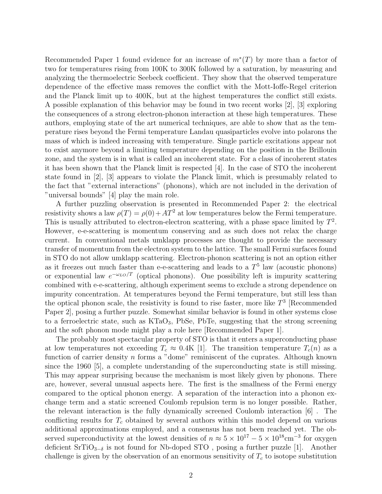Recommended Paper 1 found evidence for an increase of  $m^*(T)$  by more than a factor of two for temperatures rising from 100K to 300K followed by a saturation, by measuring and analyzing the thermoelectric Seebeck coefficient. They show that the observed temperature dependence of the effective mass removes the conflict with the Mott-Ioffe-Regel criterion and the Planck limit up to 400K, but at the highest temperatures the conflict still exists. A possible explanation of this behavior may be found in two recent works [\[2\]](#page-2-1), [\[3\]](#page-2-2) exploring the consequences of a strong electron-phonon interaction at these high temperatures. These authors, employing state of the art numerical techniques, are able to show that as the temperature rises beyond the Fermi temperature Landau quasiparticles evolve into polarons the mass of which is indeed increasing with temperature. Single particle excitations appear not to exist anymore beyond a limiting temperature depending on the position in the Brillouin zone, and the system is in what is called an incoherent state. For a class of incoherent states it has been shown that the Planck limit is respected [\[4\]](#page-2-3). In the case of STO the incoherent state found in [\[2\]](#page-2-1), [\[3\]](#page-2-2) appears to violate the Planck limit, which is presumably related to the fact that "external interactions" (phonons), which are not included in the derivation of "universal bounds" [4] play the main role.

A further puzzling observation is presented in Recommended Paper 2: the electrical resistivity shows a law  $\rho(T) = \rho(0) + AT^2$  at low temperatures below the Fermi temperature. This is usually attributed to electron-electron scattering, with a phase space limited by  $T^2$ . However, e-e-scattering is momentum conserving and as such does not relax the charge current. In conventional metals umklapp processes are thought to provide the necessary transfer of momentum from the electron system to the lattice. The small Fermi surfaces found in STO do not allow umklapp scattering. Electron-phonon scattering is not an option either as it freezes out much faster than e-e-scattering and leads to a  $T<sup>5</sup>$  law (acoustic phonons) or exponential law  $e^{-\omega_{LO}/T}$  (optical phonons). One possibility left is impurity scattering combined with e-e-scattering, although experiment seems to exclude a strong dependence on impurity concentration. At temperatures beyond the Fermi temperature, but still less than the optical phonon scale, the resistivity is found to rise faster, more like  $T<sup>3</sup>$  [Recommended Paper 2], posing a further puzzle. Somewhat similar behavior is found in other systems close to a ferroelectric state, such as  $KTaO_3$ , PbSe, PbTe, suggesting that the strong screening and the soft phonon mode might play a role here [Recommended Paper 1].

The probably most spectacular property of STO is that it enters a superconducting phase at low temperatures not exceeding  $T_c \approx 0.4K$  [\[1\]](#page-2-0). The transition temperature  $T_c(n)$  as a function of carrier density  $n$  forms a "dome" reminiscent of the cuprates. Although known since the 1960 [\[5\]](#page-2-4), a complete understanding of the superconducting state is still missing. This may appear surprising because the mechanism is most likely given by phonons. There are, however, several unusual aspects here. The first is the smallness of the Fermi energy compared to the optical phonon energy. A separation of the interaction into a phonon exchange term and a static screened Coulomb repulsion term is no longer possible. Rather, the relevant interaction is the fully dynamically screened Coulomb interaction [\[6\]](#page-2-5) . The conflicting results for  $T_c$  obtained by several authors within this model depend on various additional approximations employed, and a consensus has not been reached yet. The observed superconductivity at the lowest densities of  $n \approx 5 \times 10^{17} - 5 \times 10^{18}$ cm<sup>-3</sup> for oxygen deficient  $SrTiO<sub>3−δ</sub>$  is not found for Nb-doped STO, posing a further puzzle [\[1\]](#page-2-0). Another challenge is given by the observation of an enormous sensitivity of  $T_c$  to isotope substitution